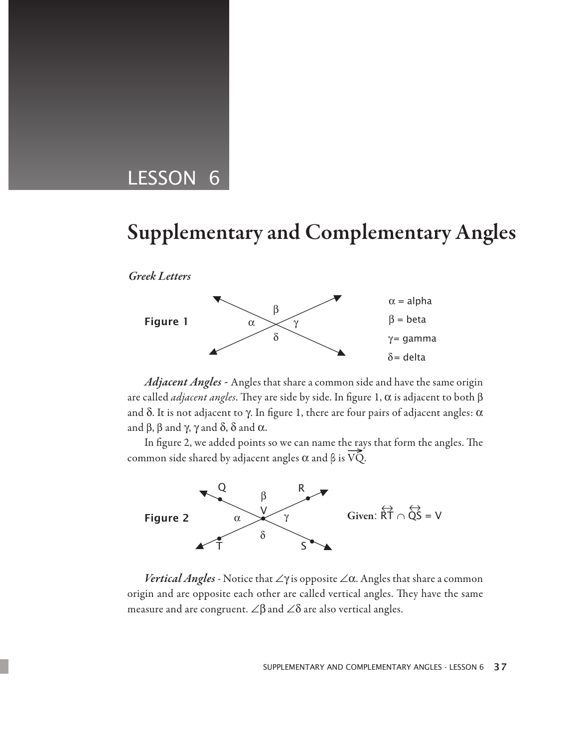# LESSON 6

# Supplementary and Complementary Angles

*Greek Letters* 



Supplementary and Complementary

*Adjacent Angles -* Angles that share a common side and have the same origin are called *adjacent angles*. They are side by side. In figure 1, α is adjacent to both β and  $\delta$ . It is not adjacent to  $\gamma$ . In figure 1, there are four pairs of adjacent angles:  $\alpha$ and  $\beta$ ,  $\beta$  and  $\gamma$ ,  $\gamma$  and  $\delta$ ,  $\delta$  and  $\alpha$ .

In figure 2, we added points so we can name the rays that form the angles. The common side shared by adjacent angles  $\alpha$  and  $\beta$  is  $\overline{VQ}$ .



*Vertical Angles -* Notice that ∠γ is opposite ∠α. Angles that share a common origin and are opposite each other are called vertical angles. They have the same measure and are congruent.  $\angle \beta$  and  $\angle \delta$  are also vertical angles.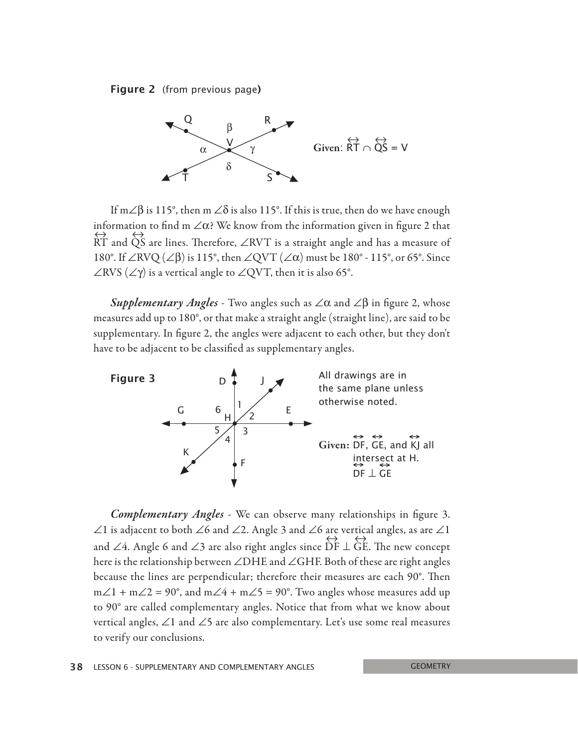



If m∠ $\beta$  is 115°, then m ∠ $\delta$  is also 115°. If this is true, then do we have enough information to find m  $\angle \alpha$ ? We know from the information given in figure 2 that RT  $\leftrightarrow$  and QS ↔ are lines. Therefore, ∠RVT is a straight angle and has a measure of 180°. If ∠RVQ (∠β) is 115°, then ∠QVT (∠α) must be 180° - 115°, or 65°. Since  $\angle$ RVS ( $\angle$  $\gamma$ ) is a vertical angle to  $\angle$ QVT, then it is also 65°.

*Supplementary Angles -* Two angles such as ∠α and ∠β in figure 2, whose measures add up to 180°, or that make a straight angle (straight line), are said to be supplementary. In figure 2, the angles were adjacent to each other, but they don't have to be adjacent to be classified as supplementary angles.



*Complementary Angles -* We can observe many relationships in figure 3. ∠1 is adjacent to both ∠6 and ∠2. Angle 3 and ∠6 are vertical angles, as are ∠1 and ∠4. Angle 6 and ∠3 are also right angles since DF ↔ ⊥ GE ↔ . The new concept here is the relationship between ∠DHE and ∠GHF. Both of these are right angles because the lines are perpendicular; therefore their measures are each 90°. Then  $m\angle 1 + m\angle 2 = 90^{\circ}$ , and  $m\angle 4 + m\angle 5 = 90^{\circ}$ . Two angles whose measures add up to 90° are called complementary angles. Notice that from what we know about vertical angles, ∠1 and ∠5 are also complementary. Let's use some real measures to verify our conclusions.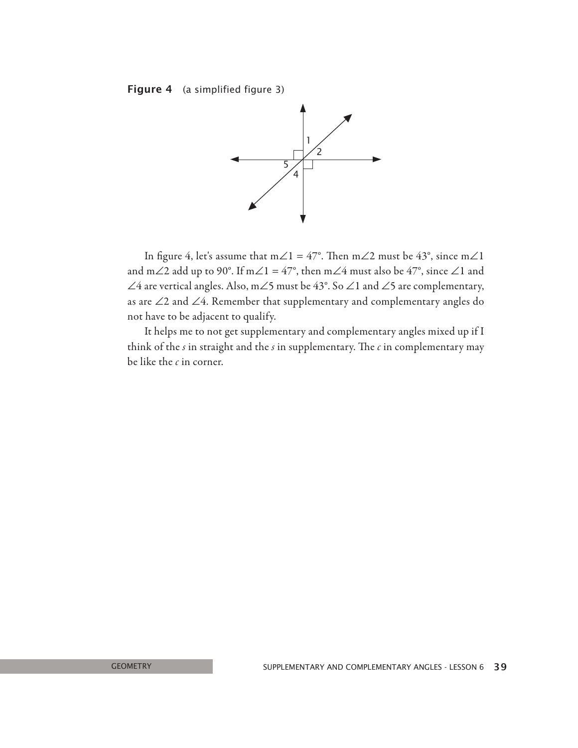Figure 4 (a simplified figure 3)



In figure 4, let's assume that m∠1 = 47°. Then m∠2 must be 43°, since m∠1 and m∠2 add up to 90°. If m∠1 = 47°, then m∠4 must also be 47°, since ∠1 and ∠4 are vertical angles. Also, m∠5 must be 43°. So ∠1 and ∠5 are complementary, as are ∠2 and ∠4. Remember that supplementary and complementary angles do not have to be adjacent to qualify.

It helps me to not get supplementary and complementary angles mixed up if I think of the *s* in straight and the *s* in supplementary. The *c* in complementary may be like the *c* in corner.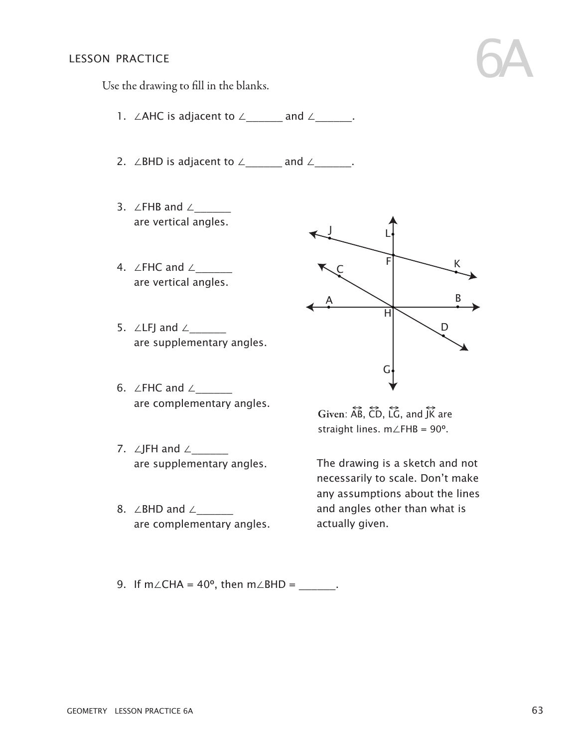#### lesson practice

Use the drawing to fill in the blanks.

- 1. ∠AHC is adjacent to ∠\_\_\_\_\_\_ and ∠\_\_\_\_\_\_.
- 2. ∠BHD is adjacent to ∠\_\_\_\_\_\_ and ∠\_\_\_\_\_\_.
- 3. ∠FHB and ∠\_\_\_\_\_\_ are vertical angles.
- 4. ∠FHC and ∠\_\_\_\_\_\_ are vertical angles.
- 5. ∠LFJ and  $∠$ are supplementary angles.
- 6. ∠FHC and ∠\_\_\_\_\_\_ are complementary angles.
- 7. ∠JFH and ∠\_\_\_\_\_\_\_ are supplementary angles.
- 8. ∠BHD and ∠ are complementary angles.



6A

Given:  $\overleftrightarrow{AB}$ ,  $\overleftrightarrow{CD}$ ,  $\overleftrightarrow{LG}$ , and  $\overleftrightarrow{JK}$  are straight lines. m∠FHB = 90º.

The drawing is a sketch and not necessarily to scale. Don't make necessainy to search born't make.<br>any assumptions about the lines and angles other than what is actually given.

9. If m∠CHA =  $40^{\circ}$ , then m∠BHD = \_\_\_\_\_\_.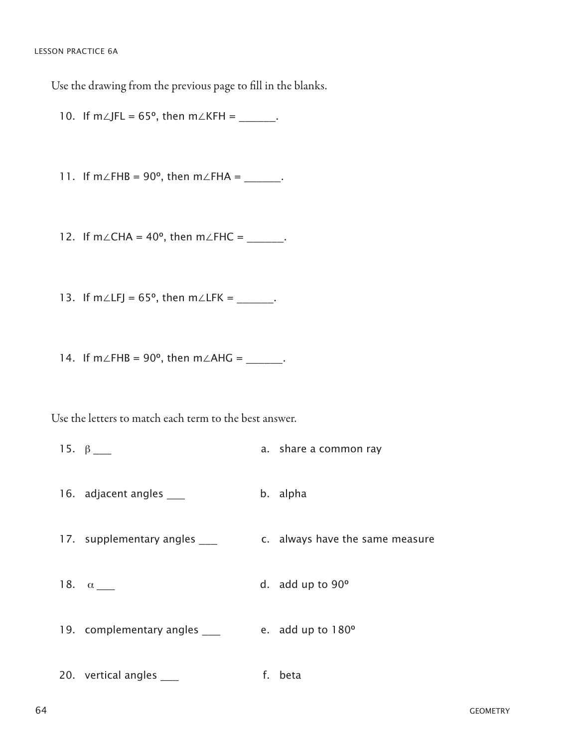LESSON PRACTICE 6A

Use the drawing from the previous page to fill in the blanks.

10. If  $m\angle$ JFL = 65°, then  $m\angle$ KFH = \_\_\_\_\_.

11. If m∠FHB = 90°, then m∠FHA = \_\_\_\_\_\_.

12. If m∠CHA = 40°, then m∠FHC = \_\_\_\_\_\_.

13. If  $m\angle LFI = 65^\circ$ , then  $m\angle LFK =$  \_\_\_\_\_\_.

14. If m∠FHB = 90°, then m∠AHG = \_\_\_\_\_\_.

Use the letters to match each term to the best answer.

15.  $\beta$  \_\_\_ a. share a common ray 16. adjacent angles \_\_\_ b. alpha 17. supplementary angles \_\_\_\_ c. always have the same measure 18.  $\alpha$  \_\_\_ d. add up to 90° 19. complementary angles \_\_\_ e. add up to 180° 20. vertical angles \_\_\_\_ f. beta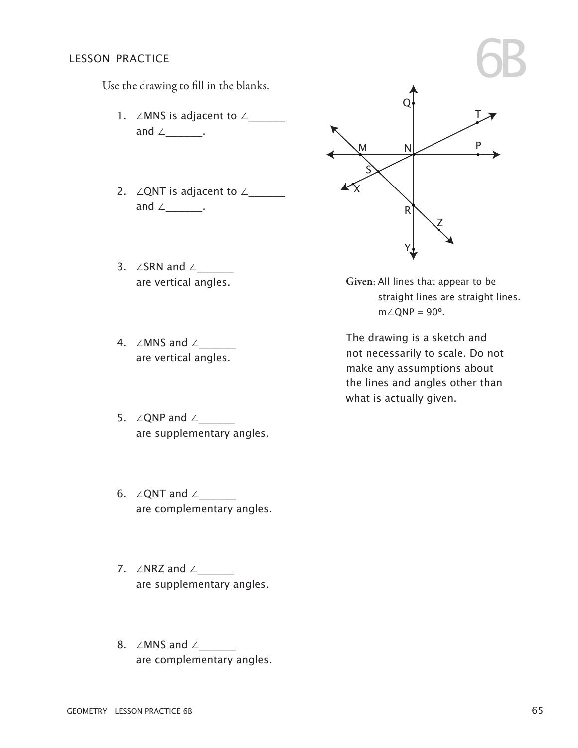#### lesson practice

Use the drawing to fill in the blanks.

- 1. ∠MNS is adjacent to ∠ and ∠\_\_\_\_\_\_\_.
- 2. ∠QNT is adjacent to ∠\_\_\_\_\_\_ and  $\angle$  \_\_\_\_\_\_\_.
- 3. ∠SRN and ∠\_\_\_\_\_\_ are vertical angles.
- 4. ∠MNS and ∠\_\_\_\_\_\_ are vertical angles.
- 5. ∠QNP and ∠\_\_\_\_\_\_ are supplementary angles.
- 6. ∠QNT and  $∠$ are complementary angles.
- 7. ∠NRZ and ∠\_\_\_\_\_\_\_ are supplementary angles.
- 8. ∠MNS and ∠ are complementary angles.



Given: All lines that appear to be straight lines are straight lines.  $m∠QNP = 90°$ .

The drawing is a sketch and not necessarily to scale. Do not make any assumptions about the lines and angles other than what is actually given.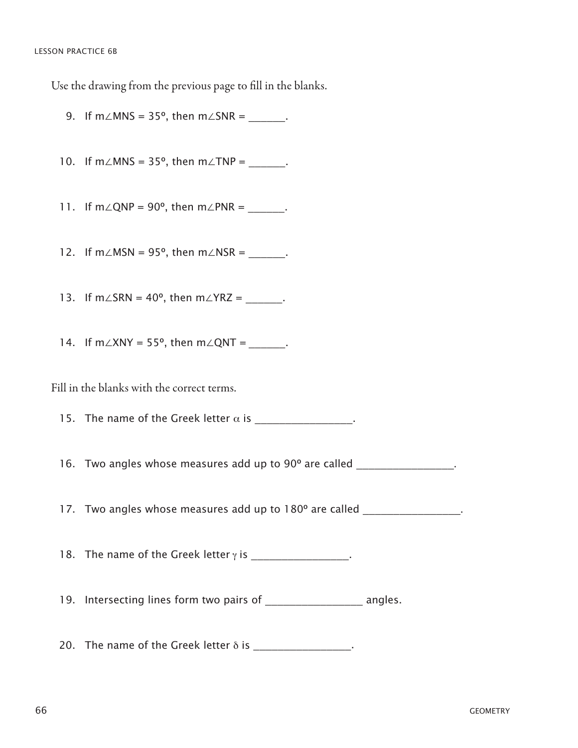Use the drawing from the previous page to fill in the blanks.

9. If  $m\angle MNS = 35^\circ$ , then  $m\angle SNR =$ . 10. If  $m\angle MNS = 35^\circ$ , then  $m\angle TNP =$ \_\_\_\_\_\_\_. 11. If  $m\angle QNP = 90^\circ$ , then  $m\angle PNR =$ . 12. If  $m\angle MSN = 95^\circ$ , then  $m\angle NSR =$  \_\_\_\_\_\_. 13. If m∠SRN =  $40^{\circ}$ , then m∠YRZ =  $\qquad$ . 14. If  $m\angle XNY = 55^\circ$ , then  $m\angle QNT =$ . Fill in the blanks with the correct terms. 15. The name of the Greek letter  $\alpha$  is \_\_\_\_\_\_\_\_\_\_\_\_\_\_\_\_. 16. Two angles whose measures add up to 90° are called  $\sim$ 17. Two angles whose measures add up to 180° are called 18. The name of the Greek letter  $\gamma$  is  $\blacksquare$ 19. Intersecting lines form two pairs of \_\_\_\_\_\_\_\_\_\_\_\_\_\_\_\_\_\_\_\_\_ angles. 20. The name of the Greek letter  $\delta$  is  $\frac{1}{\delta}$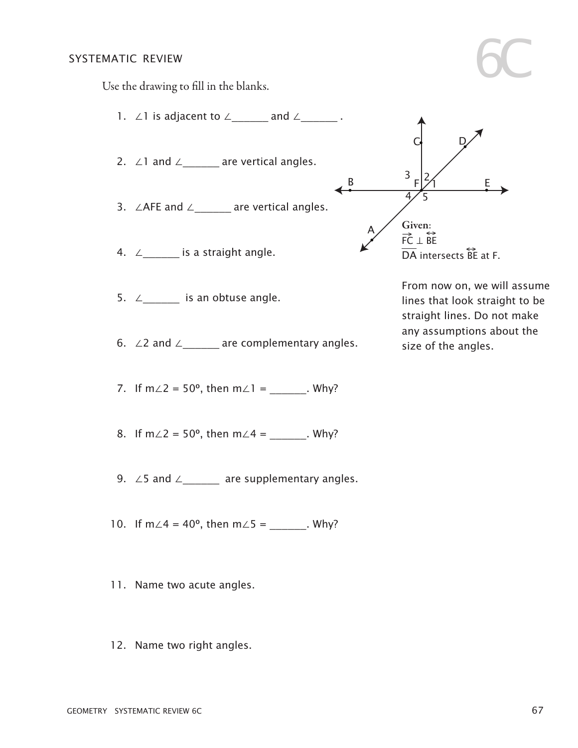## systematic review G

6C



- 1. ∠1 is adjacent to  $\angle$  and  $\angle$  .
- 2. ∠1 and ∠\_\_\_\_\_\_ are vertical angles.
- 3. ∠AFE and ∠\_\_\_\_\_\_ are vertical angles.
- 4.  $\angle$ \_\_\_\_\_\_\_\_\_ is a straight angle.
- 5.  $∠$  is an obtuse angle.
- 6. ∠2 and ∠\_\_\_\_\_\_\_ are complementary angles.
- 7. If  $m∠2 = 50^{\circ}$ , then  $m∠1 =$  . Why?
- 8. If  $m\angle 2 = 50^{\circ}$ , then  $m\angle 4 =$  Why?
- 9. ∠5 and ∠\_\_\_\_\_\_\_\_ are supplementary angles.
- 10. If m∠4 = 40°, then m∠5 = \_\_\_\_\_\_. Why?
- 11. Name two acute angles.
- 12. Name two right angles.



From now on, we will assume lines that look straight to be straight lines. Do not make any assumptions about the size of the angles.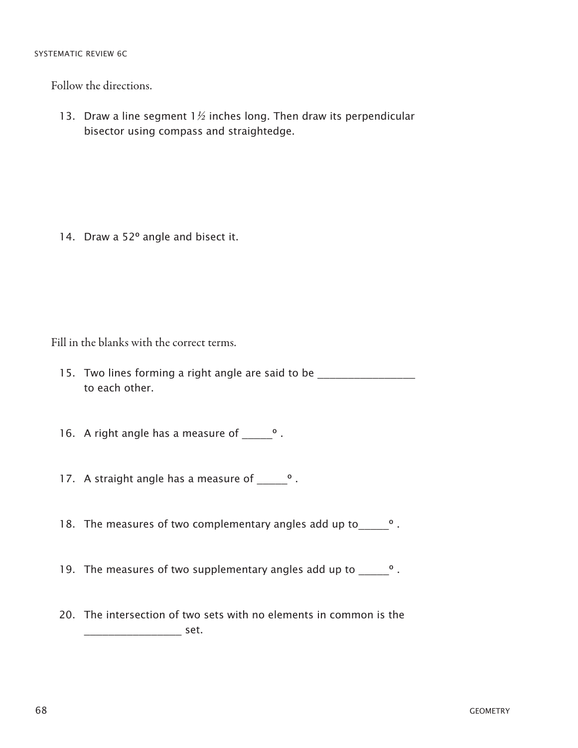#### SYSTEMATIC REVIEW 6C

Follow the directions.

13. Draw a line segment  $1\frac{1}{2}$  inches long. Then draw its perpendicular bisector using compass and straightedge.

14. Draw a 52° angle and bisect it.

Fill in the blanks with the correct terms.

- 15. Two lines forming a right angle are said to be \_\_\_\_\_\_\_\_\_\_\_\_\_\_\_\_\_\_\_\_\_\_\_\_\_\_\_\_\_ to each other.
- 16. A right angle has a measure of  $\qquad$ °.
- 17. A straight angle has a measure of  $\Box$
- 18. The measures of two complementary angles add up to \_\_\_\_\_\_\_\_\_\_\_\_\_\_\_\_\_\_\_\_\_\_\_\_\_\_
- 19. The measures of two supplementary angles add up to \_\_\_\_\_\_\_\_\_\_\_\_\_\_\_\_\_\_\_\_\_\_\_\_\_\_
- 20. The intersection of two sets with no elements in common is the \_\_\_\_\_\_\_\_\_\_\_\_\_\_\_\_ set.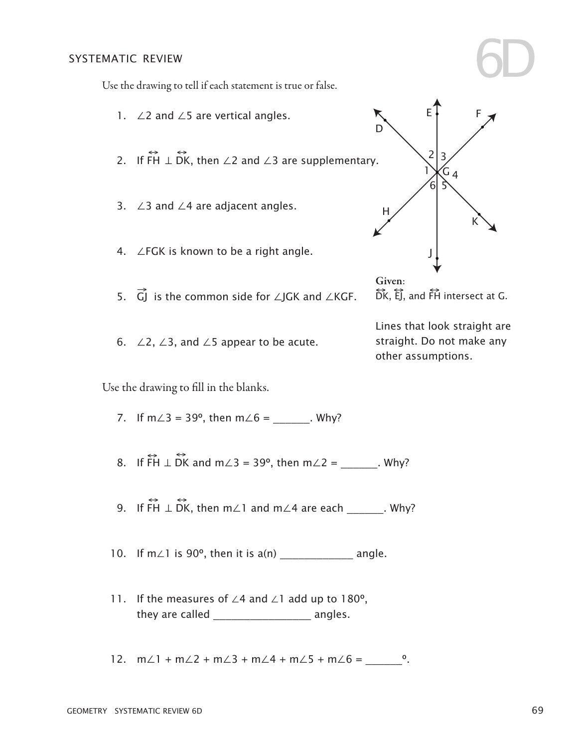#### systematic review

Use the drawing to tell if each statement is true or false.

- 1. ∠2 and ∠5 are vertical angles. L
- 2. If ↔ FH <sup>⊥</sup> <sup>↔</sup> DK, then ∠2 and ∠3 are supplementary.  $\Rightarrow$   $\leftrightarrow$
- 3. ∠3 and ∠4 are adjacent angles. H
- 4. ∠FGK is known to be a right angle. G
- 5.  $\overrightarrow{G}$  is the common side for ∠JGK and ∠KGF.
- 6. ∠2,  $\angle$ 3, and  $\angle$ 5 appear to be acute.

Use the drawing to fill in the blanks. n Station (1986) and the station of the station of the station of the station of the station of the station of<br>The station of the station of the station of the station of the station of the station of the station of the s

- 7. If  $m\angle 3 = 39^{\circ}$ , then  $m\angle 6 =$  Why?
- 8. If  $\overrightarrow{FH} \perp \overrightarrow{DK}$  and m∠3 = 39°, then m∠2 = \_\_\_\_\_\_\_. Why?
- 9. If ↔ FH <sup>⊥</sup> <sup>↔</sup> DK, then m∠1 and m∠4 are each \_\_\_\_\_\_. Why?
- 10. If m∠1 is 90º, then it is a(n) \_\_\_\_\_\_\_\_\_\_\_\_ angle.
- 11. If the measures of ∠4 and ∠1 add up to 180º, they are called **angles**.
- 12. m∠1 + m∠2 + m∠3 + m∠4 + m∠5 + m∠6 =  $\degree$ .



2

E

D

3

F

6D

 $\overleftrightarrow{DK}, \overleftrightarrow{EJ}$ , and  $\overleftrightarrow{FH}$  intersect at G.

straight. Do not make any Lines that look straight are other assumptions.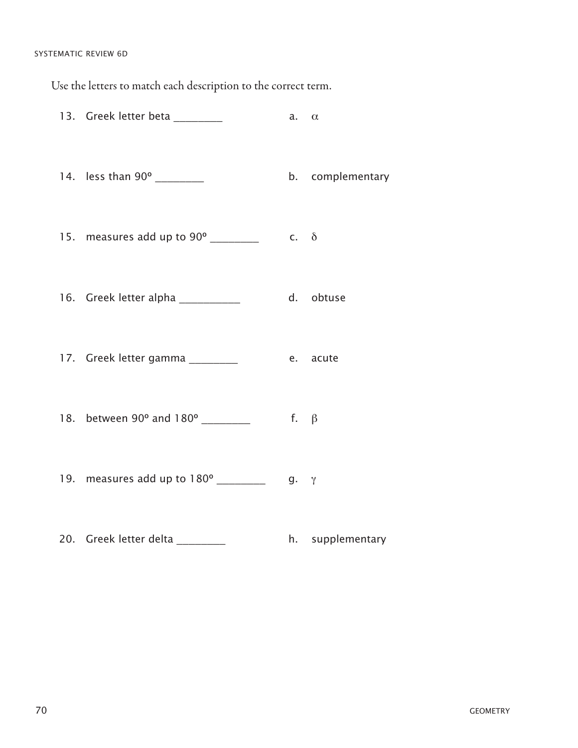#### SYSTEMATIC REVIEW 6D

Use the letters to match each description to the correct term.

| 13. Greek letter beta _________      | a. $\alpha$ |                  |
|--------------------------------------|-------------|------------------|
| 14. less than 90° _________          |             | b. complementary |
| 15. measures add up to 90° ________  | $c. \delta$ |                  |
| 16. Greek letter alpha __________    |             | d. obtuse        |
| 17. Greek letter gamma ________      |             | e. acute         |
| 18. between 90° and 180° _________   | f. $\beta$  |                  |
| 19. measures add up to 180° ________ | g.          | $\gamma$         |

20. Greek letter delta \_\_\_\_\_\_\_\_\_ h. supplementary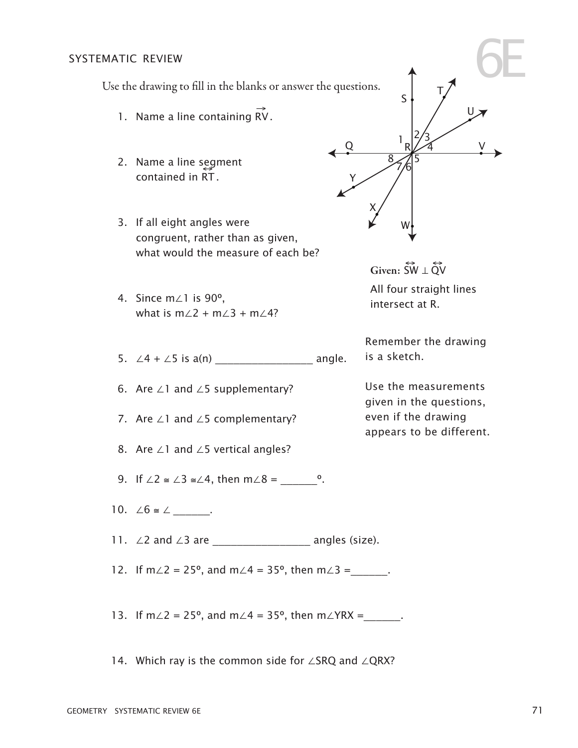#### systematic review

 $\alpha$ E Use the drawing to fill in the blanks or answer the questions.

- 1. Name a line containing  $\overrightarrow{RV}$ .
- rame a mic seg.<br>contained in RT. 2. Name a line segment
- J 3. If all eight angles were congruent, rather than as given, what would the measure of each be?
- C 4. Since m∠1 is 90º, what is  $m\angle 2 + m\angle 3 + m\angle 4$ ?
- 4 5 5. ∠4 + ∠5 is a(n) \_\_\_\_\_\_\_\_\_\_\_\_\_\_\_\_ angle.
- A 6. Are ∠1 and ∠5 supplementary?
- 7. Are ∠1 and ∠5 complementary?
- 8. Are ∠1 and ∠5 vertical angles?
- 9. If  $\angle 2 \cong \angle 3 \cong \angle 4$ , then m $\angle 8 =$  °.
- 10. ∠6  $\cong$  ∠  $\angle$
- 11. ∠2 and ∠3 are \_\_\_\_\_\_\_\_\_\_\_\_\_\_\_\_ angles (size).
- 12. If m∠2 = 25°, and m∠4 = 35°, then m∠3 =  $\qquad$ .
- 13. If m∠2 = 25°, and m∠4 = 35°, then m∠YRX =  $\qquad$ .
- 14. Which ray is the common side for ∠SRQ and ∠QRX?



intersect at R. Given:  $\overleftrightarrow{SW} \perp \overleftrightarrow{QV}$ All four straight lines

Remember the drawing is a sketch.

Use the measurements given in the questions, even if the drawing appears to be different.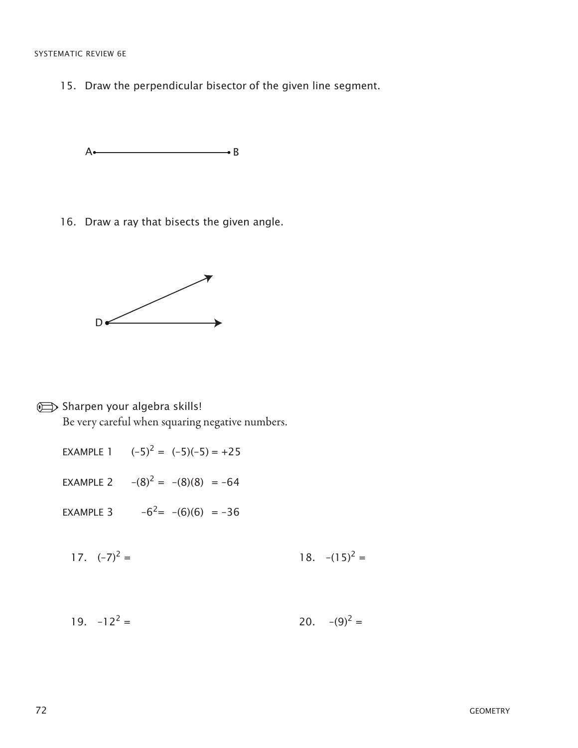### SYSTEMATIC REVIEW 6E

15. Draw the perpendicular bisector of the given line segment.

 $A \bullet$  B

16. Draw a ray that bisects the given angle. **A Britain Company of the Company of the Company** 



Sharpen your algebra skills!

Be very careful when squaring negative numbers.

- EXAMPLE 1  $(-5)^2 = (-5)(-5) = +25$
- EXAMPLE 2  $-(8)^2 = -(8)(8) = -64$

EXAMPLE 3  $-6^2$  =  $-(6)(6)$  =  $-36$ 

- 17.  $(-7)^2 =$  $=$  18. –(15)<sup>2</sup> =
- $19. -12^2 =$  $=$  20. –(9)<sup>2</sup> =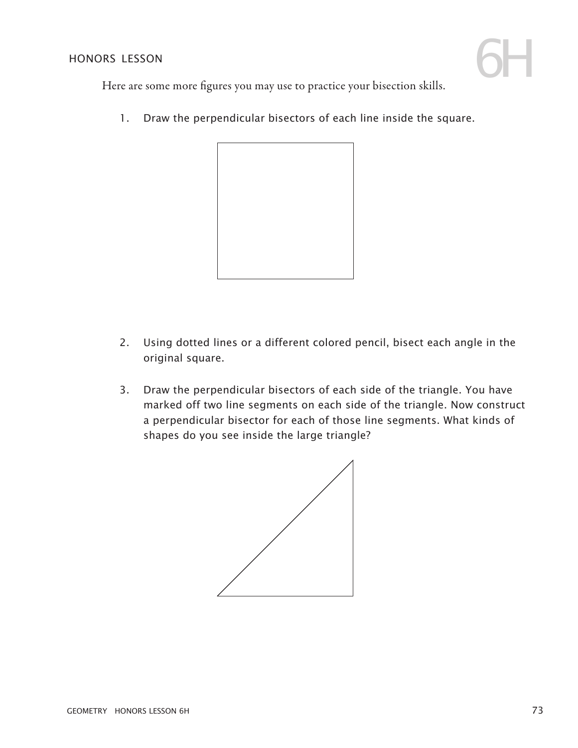

Here are some more figures you may use to practice your bisection skills.

1. Draw the perpendicular bisectors of each line inside the square.



- 2. Using dotted lines or a different colored pencil, bisect each angle in the original square.
- 3. Draw the perpendicular bisectors of each side of the triangle. You have marked off two line segments on each side of the triangle. Now construct a perpendicular bisector for each of those line segments. What kinds of shapes do you see inside the large triangle?

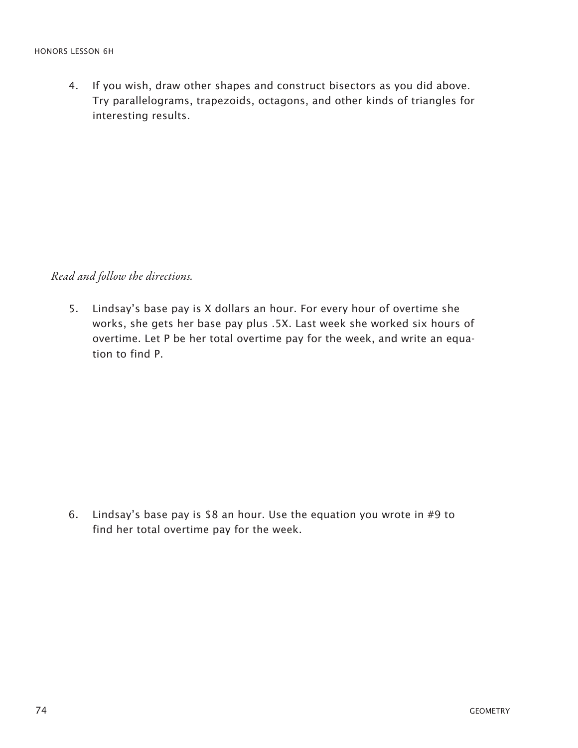4. If you wish, draw other shapes and construct bisectors as you did above. Try parallelograms, trapezoids, octagons, and other kinds of triangles for interesting results.

*Read and follow the directions.*

5. Lindsay's base pay is X dollars an hour. For every hour of overtime she works, she gets her base pay plus .5X. Last week she worked six hours of overtime. Let P be her total overtime pay for the week, and write an equation to find P.

6. Lindsay's base pay is \$8 an hour. Use the equation you wrote in #9 to find her total overtime pay for the week.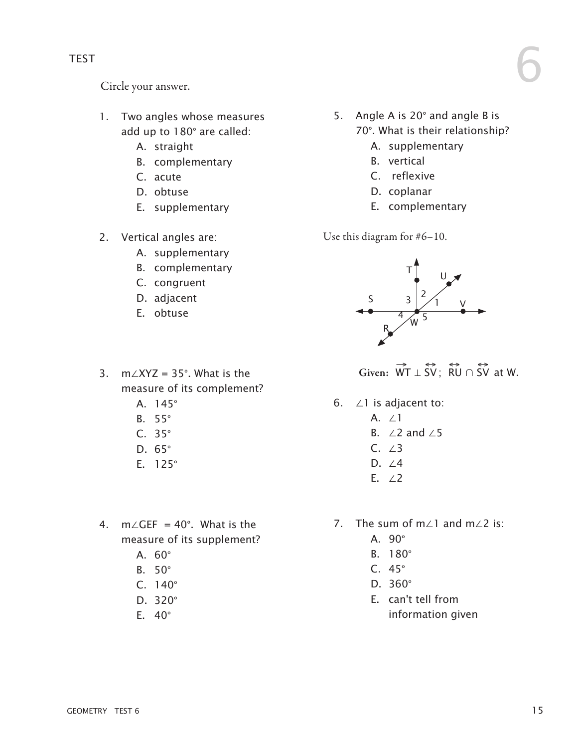Circle your answer.

- 1. Two angles whose measures add up to 180° are called:
	- A. straight
	- B. complementary
	- C. acute
	- D. obtuse
	- E. supplementary
- 2. Vertical angles are:
	- A. supplementary
	- B. complementary
	- C. congruent
	- D. adjacent
	- E. obtuse

### 3. m∠XYZ = 35°. What is the measure of its complement?

- A. 145°
- B. 55°
- C. 35°
- D. 65°
- E. 125°
- 4. m∠GEF = 40°. What is the measure of its supplement?
	- A. 60°
	- B. 50°
	- C. 140°
	- D. 320°
	- E. 40°

5. Angle A is 20° and angle B is 70°. What is their relationship? 6

- A. supplementary
- B. vertical
- C. reflexive
- D. coplanar
- E. complementary

Use this diagram for #6–10.



Given:  $\overrightarrow{WT} \perp \overrightarrow{SV}$ ;  $\overrightarrow{RU} \cap \overrightarrow{SV}$  at W.

#### 6. ∠1 is adjacent to:

- A. ∠1
- B. ∠2 and ∠5
- C. ∠3
- D. ∠4
- E. ∠2
- 7. The sum of m∠1 and m∠2 is:
	- A. 90°
	- B. 180°
	- C. 45°
	- D. 360°
	- E. can't tell from information given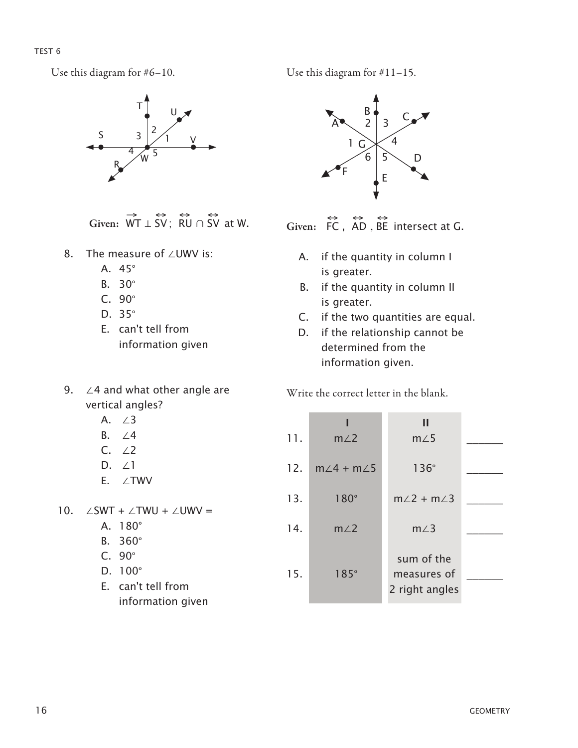TEST<sub>6</sub>

Use this diagram for #6–10.



Given:  $\overrightarrow{WT} \perp \overrightarrow{SV}$ ; RU  $\cap$  SV at W.

- 8. The measure of ∠UWV is:
	- A. 45°
	- B. 30°
	- C. 90°
	- D. 35°
	- E. can't tell from information given
- 9. ∠4 and what other angle are vertical angles?
	- A. ∠3
	- B. ∠4
	- C. ∠2
	- D. ∠1
	- E. ∠TWV

10.  $\angle$ SWT +  $\angle$ TWU +  $\angle$ UWV =

- A. 180°
- B. 360°
- C. 90°
- D. 100°
- E. can't tell from information given

Use this diagram for #11–15.



Given:  $FC$ ,  $AD$ ,  $BE$  intersect at G.

- A. if the quantity in column I is greater.
- B. if the quantity in column II is greater.
- C. if the two quantities are equal.
- D. if the relationship cannot be determined from the information given.

Write the correct letter in the blank.

| 11. | $m\angle 2$                 | Ш<br>$m\angle 5$                            |  |
|-----|-----------------------------|---------------------------------------------|--|
|     | 12. $m\angle 4 + m\angle 5$ | $136^\circ$                                 |  |
| 13. | $180^\circ$                 | $m/2 + m/3$                                 |  |
| 14. | m/2                         | $m\angle 3$                                 |  |
| 15. | $185^\circ$                 | sum of the<br>measures of<br>2 right angles |  |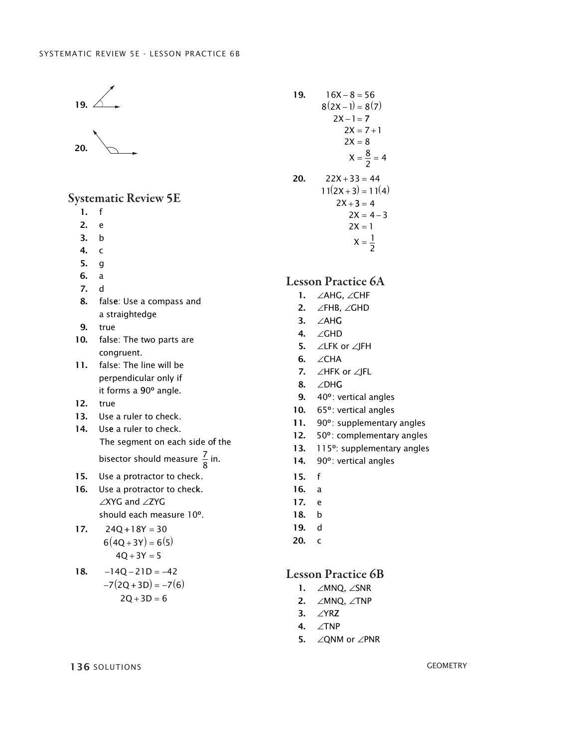



#### Systematic Review 5E

- 1. f
- 2. e
- 3. b
- 4. c
- 5. g
- 6. a
- 7. d
- 8. false: Use a compass and a straightedge
- 9. true
- 10. false: The two parts are congruent.
- 11. false: The line will be perpendicular only if it forms a 90º angle.
- 12. true
- 13. Use a ruler to check.
- 14. Use a ruler to check. The segment on each side of the bisector should measure  $\frac{7}{8}$  in.
- 15. Use a protractor to check.
- 16. Use a protractor to check. ∠XYG and ∠ZYG should each measure 10º.

17. 
$$
24Q+18Y = 30
$$
  
\n $6(4Q+3Y) = 6(5)$   
\n $4Q+3Y = 5$ 

18. 
$$
-14Q-21D = -42
$$
  
\n $-7(2Q+3D) = -7(6)$   
\n $2Q+3D = 6$ 

19. 
$$
16X - 8 = 56
$$
  
\n $8(2X - 1) = 8(7)$   
\n $2X - 1 = 7$   
\n $2X = 7 + 1$   
\n $2X = 8$   
\n $X = \frac{8}{2} = 4$   
\n20.  $22X + 33 = 44$   
\n $11(2X + 3) = 11(4)$   
\n $2X + 3 = 4$   
\n $2X = 4 - 3$   
\n $2X = 1$   
\n $X = \frac{1}{2}$ 

## Lesson Practice 6A

- 1. ∠AHG, ∠CHF
- 2. ∠FHB, ∠GHD
- 3. ∠ AH G 3. ∠ AH G
- 4. ∠GHD
- **5.** ∠LFK or ∠JFH
- 6. ∠CHA
- 7. ∠HFK or ∠JFL
- 8. ∠DHG
- 9. 40 º: vertical angles 9. 40 º: vertical angles
- 10. 65 º: vertical angles 10. 65 º: vertical angles
- 11. 90 º: supplementary angles 11. 90 º: supplementary angles
- 12. 50 º: complementary angles 12. 50 º: complementary angles
- 13. 115º: supplementary angles 13. 115º: supplementary angles
- 14. 90º: vertical angles 14. 90º: vertical angles
- 15. f 15. f
- 16. a 16. a
- 17. e 17. e
- 18. b 18. b
- 19. d 19. d
- 20. c 20. c

### Lesson Practice 6B

- 1.  $\angle$ MNQ,  $\angle$ SNR
- 2.  $\angle$ MNQ,  $\angle$ TNP
- 3. ∠YRZ
- 4. ∠TNP
- 5. ∠QNM or  $∠PNR$